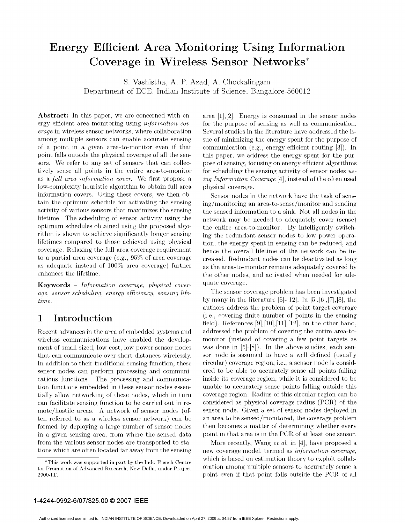# Energy Efficient Area Monitoring Using Information Coverage in Wireless Sensor Networks\*

S. Vashistha, A. P. Azad, A. Chockalingam Department of ECE, Indian Institute of Science, Bangalore-560012

ergy efficient area monitoring using *information cov*- for the purpose of sensing as well as communication. erage in wireless sensor networks, where collaboration Several studies in the literature have addressed the isamong multiple sensors can enable accurate sensing sue of minimizing the energy spent for the purpose of of a point in a given area-to-monitor even if that communication (e.g., energy efficient routing  $[3]$ ). In point falls outside the physical coverage of all the sen- this paper, we address the energy spent for the pursors. We refer to any set of sensors that can collec- pose of sensing, focusing on energy efficient algorithms tively sense all points in the entire area-to-monitor for scheduling the sensing activity of sensor nodes usas a full area information cover. We first propose a ing Information Coverage [4], instead of the often used low-complexity heuristic algorithm to obtain full area physical coverage. information covers. Using these covers, we then ob- Sensor nodes in the network have the task of senstain the optimum schedule for activating the sensing ing/monitoring an area-to-sense/monitor and sending activity of various sensors that maximizes the sensing the sensed information to a sink. Not all nodes in the lifetime. The scheduling of sensor activity using the network may be needed to adequately cover (sense) optimum schedules obtained using the proposed algo- the entire area-to-monitor. By intelligently switchrithm is shown to achieve significantly longer sensing ing the redundant sensor nodes to low power operalifetimes compared to those achieved using physical tion, the energy spent in sensing can be reduced, and coverage. Relaxing the full area coverage requirement hence the overall lifetime of the network can be into a partial area coverage (e.g., 95% of area coverage creased. Redundant nodes can be deactivated as long as adequate instead of  $100\%$  area coverage) further as the area-to-monitor remains adequately covered by

**Keywords** – Information coverage, physical cover-<br>
gage, sensor scheduling energy efficiency sensing life-<br>
The sensor coverage problem has been investigated age, sensor scheduling, energy efficiency, sensing lifetime. by many in the literature  $[5]-[12]$ . In  $[5], [6], [7], [8]$ , the

Recent advances in the area of embedded systems and addressed the problem of covering the entire area-towireless communications have enabled the develop- monitor (instead of covering a few point targets as ment of small-sized, low-cost, low-power sensor nodes was done in [5]-[8]). In the above studies, each senthat can communicate over short distances wirelessly. sor node is assumed to have a well defined (usually In addition to their traditional sensing function, these circular) coverage region, i.e., a sensor node is considsensor nodes can perform processing and communi- ered to be able to accurately sense all points falling cations functions. The processing and communica- inside its coverage region, while it is considered to be tion functions embedded in these sensor nodes essen- unable to accurately sense points falling outside this tially allow networking of these nodes, which in turn coverage region. Radius of this circular region can be can facilitate sensing function to be carried out in re- considered as physical coverage radius (PCR) of the mote/hostile areas. A network of sensor nodes (of- sensor node. Given <sup>a</sup> set of sensor nodes deployed in ten referred to as a wireless sensor network) can be an area to be sensed/monitored, the coverage problem formed by deploying a large number of sensor nodes then becomes a matter of determining whether every in <sup>a</sup> given sensing area, from where the sensed data point in that area is in the PCR of at least one sensor. from the various sensor nodes are transported to sta-<br>More recently, Wang et al, in [4], have proposed a

**Abstract:** In this paper, we are concerned with en- area  $[1],[2]$ . Energy is consumed in the sensor nodes

enhances the lifetime. the other nodes, and activated when needed for ade-

authors address the problem of point target coverage 1 Introduction (i.e., covering finite number of points in the sensing field). References [9],[10],[11],[12], on the other hand,

tions which are often located far away from the sensing new coverage model, termed as *information coverage*, \*This work was supported in part by the Indo-French Centre which is based on estimation theory to exploit collab-<br>Promotion of Advanced Besearch New Delhi under Project oration among multiple sensors to accurately sense a

for Promotion of Advanced Research, New Delhi, under Project 2900-IT. **point even if that point falls outside the PCR of all**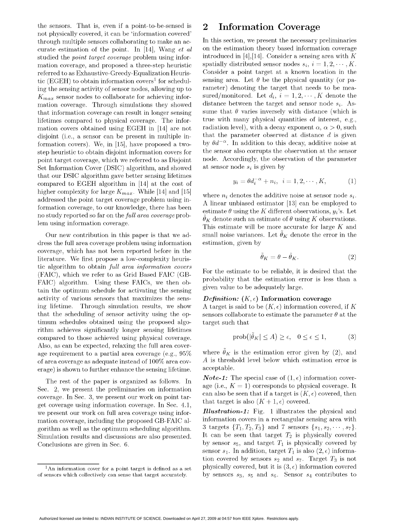the sensors. That is, even if a point-to-be-sensed is  $2$  Information Coverage not physically covered, it can be 'information covered' through multiple sensors collaborating to make an ac-<br>In this section, we present the necessary preliminaries curate estimation of the point. In [14], Wang  $et$  al on the estimation theory based information coverage studied the *point target coverage* problem using infor- introduced in [4], [14]. Consider a sensing area with K mation coverage, and proposed a three-step heuristic spatially distributed sensor nodes  $s_i$ ,  $i = 1, 2, \dots, K$ .<br>referred to as Exhaustive-Greedy-Equalization Heuris- Consider a point target at a known location in the referred to as Exhaustive-Greedy-Equalization Heuristic (EGEH) to obtain information covers<sup>1</sup> for schedul-<br>ing the sensing activity of sensor nodes, allowing up to rameter) denoting the target that needs to be meaing the sensing activity of sensor nodes, allowing up to  $K_{max}$  sensor nodes to collaborate for achieving infor-<br>mation coverage. Through simulations they showed distance between the target and sensor node  $s_i$ . Asmation coverage. Through simulations they showed that information coverage can result in longer sensing sume that  $\theta$  varies inversely with distance (which is<br>lifetimes compared to physical coverage. The inforlifetimes compared to physical coverage. The information covers obtained using EGEH in [14] are not radiation level), with a decay exponent  $\alpha$ ,  $\alpha > 0$ , such disjoint (i.e., a sensor can be present in multiple in-<br>that the parameter observed at distance d is given disjoint (i.e., a sensor can be present in multiple in-<br>formation covers). We in [15] have proposed a two-<br>by  $\theta d^{-\alpha}$ . In addition to this decay, additive noise at formation covers). We, in  $[15]$ , have proposed a twostep heuristic to obtain disjoint information covers for the sensor also corrupts the observation at the sensor point target coverage, which we referred to as Disjoint node. Accordingly, the observation of the parameter Set Information Cover (DSIC) algorithm, and showed at sensor node  $s_i$  is given by that our DSIC algorithm gave better sensing lifetimes compared to EGEH algorithm in  $[14]$  at the cost of higher complexity for large  $K_{max}$ . While [14] and [15] where  $n_i$  denotes the additive noise at sensor node  $s_i$ .<br>addressed the point target coverage problem using information coverage, to our knowledge, there has been estimate  $\theta$  using the K different observations,  $y_i$ 's. Let no study reported so far on the *full area coverage* problem using information coverage.

dress the full area coverage problem using information estimation, given by coverage, which has not been reported before in the literature. We first propose a low-complexity heuristic algorithm to obtain full area information covers FAIC) algorithm. Using these FAICs, we then ob-<br>tain the estimation error is given value to be adequately large. tain the optimum schedule for activating the sensing given value to be adequately large.<br>activity of various sensors that maximizes the sens-<br> $Definition: (K, \epsilon)$  Information coverage activity of various sensors that maximizes the sensing lifetime. Through simulation results, we show A target is said to be  $(K,\epsilon)$  information covered, if K that the scheduling of sensor activity using the op-<br>sensors collaborate to estimate the parameter  $\theta$  at the timum schedules obtained using the proposed algo- target such that rithm achieves significantly longer sensing lifetimes compared to those achieved using physical coverage. Also, as can be expected, relaxing the full area coverage requirement to a partial area coverage (e.g., 95% where  $\ddot{\theta}_K$  is the estimation error given by (2), and of area coverage as adequate instead of  $100\%$  area cov-<br>erage) is shown to further enhance the sensing lifetime acceptable. erage) is shown to further enhance the sensing lifetime.

Sec. 2, we present the preliminaries on information age (i.e.,  $K = 1$ ) corresponds to physical coverage. It coverage. In Sec. 3, we present our work on point tar-<br>get coverage using information coverage. In Sec. 4.1, that target is also  $(K + 1, \epsilon)$  covered.<br>we present our work on full area coverage using infor-<br>**Illustration-1:** mation coverage, including the proposed GB-FAIC al-<br>  $\frac{1}{3}$  targets  $\{T_1, T_2, T_3\}$  and 7 sensors  $\{s_1, s_2, \dots, s_7\}$ . Simulation results and discussions are also presented.

$$
y_i = \theta d_i^{-\alpha} + n_i, \quad i = 1, 2, \cdots, K,\tag{1}
$$

A linear unbiased estimator [13] can be employed to  $\hat{\theta}_K$  denote such an estimate of  $\theta$  using K observations. This estimate will be more accurate for large K and Our new contribution in this paper is that we ad-<br>small noise variances. Let  $\theta_K$  denote the error in the

$$
\tilde{\theta}_K = \theta - \hat{\theta}_K. \tag{2}
$$

(FAIC), which we refer to as Grid Based FAIC (GB-<br>(FAIC), which we refer to as Grid Based FAIC (GB-<br>probability that the estimation error is less than a

$$
\text{prob}(|\tilde{\theta}_K| \le A) \ge \epsilon, \quad 0 \le \epsilon \le 1,\tag{3}
$$

The rest of the paper is organized as follows. In  $Note-1:$  The special case of  $(1, \epsilon)$  information covercan also be seen that if a target is  $(K, \epsilon)$  covered, then<br>that target is also  $(K + 1, \epsilon)$  covered.

we present our work on full area coverage using infor-<br>mation coverage, including the proposed GR-FAIC al. information covers in a rectangular sensing area with gorithm as well as the optimum scheduling algorithm.  $3$  targets  $\{T_1, T_2, T_3\}$  and 7 sensors  $\{s_1, s_2, \dots, s_7\}$ .<br>Simulation results and discussions are also presented. It can be seen that target  $T_2$  is physically Conclusions are given in Sec. 6. by sensor  $s_5$ , and target  $T_1$  is physically covered by sensor  $s_1$ . In addition, target  $T_1$  is also  $(2, \epsilon)$  information covered by sensors  $s_2$  and  $s_7$ . Target  $T_3$  is not  $\frac{1}{1}$ An information cover for a point target is defined as a set physically covered, but it is  $(3, \epsilon)$  information covered

of sensors which collectively can sense that target accurately. by sensors  $s_3$ ,  $s_5$  and  $s_6$ . Sensor  $s_4$  contributes to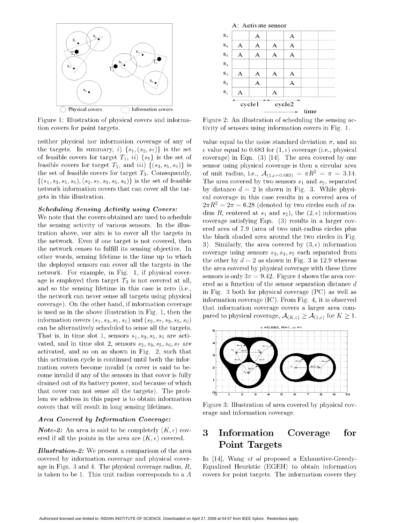

Figure 1: Illustration of physical covers and informa- Figure 2: An illustration of scheduling the sensing action covers for point targets. tivity of sensors using information covers in Fig. 1.

neither physical nor information coverage of any of value equal to the noise standard deviation  $\sigma$ , and an the targets. In summary, i)  $\{s_1, (s_2, s_7)\}\$ is the set e value equal to 0.683 for  $(1, \epsilon)$  coverage (i.e., physical of feasible covers for target  $T_1$ , ii)  $\{s_5\}$  is the set of coverage) in Eqn. (3) [14]. The area covered by one feasible covers for target  $T_2$ , and iii)  $\{(s_3, s_5, s_6)\}\$ is sensor using physical coverage is then a circular area the set of feasible covers for target  $T_3$ . Consequently, of unit radius, i.e.,  $\mathcal{A}_{(1,\epsilon=0.683)} = \pi R^2 = \pi = 3.14$ .  $\{(s_1, s_3, s_5, s_6), (s_2, s_7, s_3, s_5, s_6)\}\$  is the set of feasible The area covered by two sensors  $s_1$  and  $s_2$ , separated network information covers that can cover all the tar-<br>by distance  $d = 2$  is shown in Fig. 3. While physigets in this illustration. Cal coverage in this case results in a covered area of

the sensing activity of various sensors. In the illus- coverage satisfying Eqn. (3) results in a larger coverage satisfying Eqn. (3) results in a larger coverage satisfying Eqn. tration above, our aim is to cover all the targets in the black shaded area around the two circles in Fig. the network. Even if one target is not covered, then  $\frac{3}{2}$ . Similarly, the area covered by  $(3, \epsilon)$  information the network ceases to fulfill its sensing objective. In coverage using sensors  $s_3, s_4, s_5$  each separat other words, sensing lifetime is the time up to which the other by  $d = 2$  as shown in Fig. 3 is 12.9 whereas the deproyed sensors can cover all the targets in the the area covered by physical coverage with these three<br>network. For example, in Fig. 1, if physical cover-<br>sensors is all  $2\pi$  0.42. Figure 4 share the area can age is employed then target  $T_3$  is not covered at all, ered as a function of the sensor separation distance d<br>and so the sensing lifetime in this case is zero (i.e.,  $\frac{1}{100}$  Ein, 2 h the for sherical coverage (DC) c and so the sensing lifetime in this case is zero (i.e., in Fig. 3 both for physical coverage (PC) as well as the network can never sense all targets using physical information coverage (IC). From Fig. 4, it is observed coverage). On the other hand, if information coverage that information coverage (i.e., i.e. ii., i.e. is observed<br>is used as in the above illustration in Fig. 1, then the that information coverage covers a larger area com information covers  $(s_1, s_3, s_5, s_6)$  and  $(s_2, s_7, s_3, s_5, s_6)$ can be alternatively scheduled to sense all the targets.  $\epsilon = 0.683$ , R=1,  $\alpha = 1$ That is, in time slot 1, sensors  $s_1, s_3, s_5, s_6$  are activated, and in time slot 2, sensors  $s_2$ ,  $s_3$ ,  $s_5$ ,  $s_6$ ,  $s_7$  are activated, and so on as shown in Fig. 2, such that this activation cycle is continued until both the information covers become invalid (a cover is said to become invalid if any of the sensors in that cover is fully drained out of its battery power, and because of which that cover can not sense all the targets). The problem we address in this paper is to obtain information covers that will result in long sensing lifetimes. Figure 3: Illustration of area covered by physical cov-

## Area Covered by Information Coverage:

*Note-2:* An area is said to be completely  $(K, \epsilon)$  cov-<br>3 Information Coverage for ered if all the points in the area are  $(K, \epsilon)$  covered.

Illustration-2: We present a comparison of the area covered by information coverage and physical cover- In [14], Wang et al proposed a Exhaustive-Greedy-



**Scheduling Sensing Activity using Covers:**<br>We note that the covers obtained are used to schedule<br>We note that the covers obtained are used to schedule<br>coverage satisfying Eqn. (3) results in a larger covsensors is only  $3\pi = 9.42$ . Figure 4 shows the area covpared to physical coverage,  $\mathcal{A}_{(K,\epsilon)} \geq \mathcal{A}_{(1,\epsilon)}$  for  $K \geq 1$ .



erage and information coverage.

# Point Targets

age in Figs. 3 and 4. The physical coverage radius,  $R$ , Equalized Heuristic (EGEH) to obtain information is taken to be 1. This unit radius corresponds to a  $A$  covers for point targets. The information covers they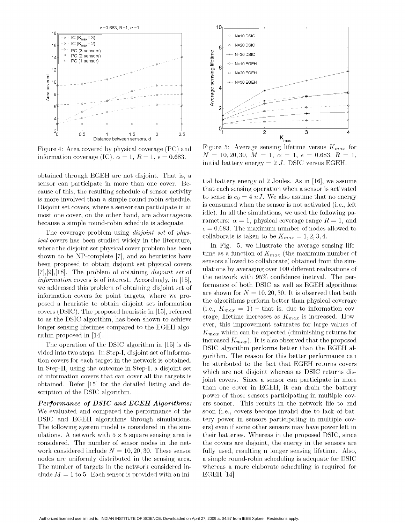

Figure 4: Area covered by physical coverage (PC) and information coverage (IC).  $\alpha = 1$ ,  $R = 1$ ,  $\epsilon = 0.683$ .

obtained through EGEH are not disjoint. That is, a sensor can participate in more than one cover. Because of this, the resulting schedule of sensor activity is more involved than a simple round-robin schedule. Disjoint set covers, where a sensor can participate in at most one cover, on the other hand, are advantageous because a simple round-robin schedule is adequate.

The coverage problem using *disjoint set* of *physical* covers has been studied widely in the literature, where the disjoint set physical cover problem has been shown to be NP-complete [7], and so heuristics have been proposed to obtain disjoint set physical covers  $[7], [9], [18]$ . The problem of obtaining *disjoint set* of *information* covers is of interest. Accordingly, in [15], we addressed this problem of obtaining disjoint set of information covers for point targets, where we proposed a heuristic to obtain disjoint set information covers (DSIC). The proposed heuristic in [15], referred to as the DSIC algorithm, has been shown to achieve longer sensing lifetimes compared to the EGEH algorithm proposed in [14].

The operation of the DSIC algorithm in [15] is divided into two steps. In Step-I, disjoint set of information covers for each target in the network is obtained. In Step-II, using the outcome in Step-I, a disjoint set of information covers that can cover all the targets is obtained. Refer [15] for the detailed listing and description of the DSIC algorithm.

Performance of DSIC and EGEH Algorithms: We evaluated and compared the performance of the DSIC and EGEH algorithms through simulations. The following system model is considered in the simulations. A network with  $5 \times 5$  square sensing area is considered. The number of sensor nodes in the network considered include  $N = 10, 20, 30$ . These sensor nodes are uniformly distributed in the sensing area. The number of targets in the network considered include  $M = 1$  to 5. Each sensor is provided with an ini-



Figure 5: Average sensing lifetime versus  $K_{max}$  for  $N = 10, 20, 30, M = 1, \alpha = 1, \epsilon = 0.683, R = 1,$ initial battery energy  $= 2 J$ . DSIC versus EGEH.

tial battery energy of 2 Joules. As in [16], we assume that each sensing operation when a sensor is activated to sense is  $e_0 = 4 nJ$ . We also assume that no energy is consumed when the sensor is not activated (*i.e.*, left idle). In all the simulations, we used the following parameters:  $\alpha = 1$ , physical coverage range  $R = 1$ , and  $\epsilon = 0.683$ . The maximum number of nodes allowed to collaborate is taken to be  $K_{max} = 1, 2, 3, 4$ .

In Fig. 5, we illustrate the average sensing lifetime as a function of  $K_{max}$  (the maximum number of sensors allowed to collaborate) obtained from the simulations by averaging over 100 different realizations of the network with 95% confidence inetrval. The performance of both DSIC as well as EGEH algorithms are shown for  $N = 10, 20, 30$ . It is observed that both the algorithms perform better than physical coverage (i.e.,  $K_{max} = 1$ ) – that is, due to information coverage, lifetime increases as  $K_{max}$  is increased. However, this improvement saturates for large values of  $K_{max}$  which can be expected (diminishing returns for increased  $K_{max}$ ). It is also observed that the proposed DSIC algorithm performs better than the EGEH algorithm. The reason for this better performance can be attributed to the fact that EGEH returns covers which are not disjoint whereas as DSIC returns disjoint covers. Since a sensor can participate in more than one cover in EGEH, it can drain the battery power of those sensors participating in multiple covers sooner. This results in the network life to end soon (i.e., covers become invalid due to lack of battery power in sensors participating in multiple covers) even if some other sensors may have power left in their batteries. Whereas in the proposed DSIC, since the covers are disjoint, the energy in the sensors are fully used, resulting n longer sensing lifetime. Also, a simple round-robin scheduling is adequate for DSIC whereas a more elaborate scheduling is required for EGEH [14].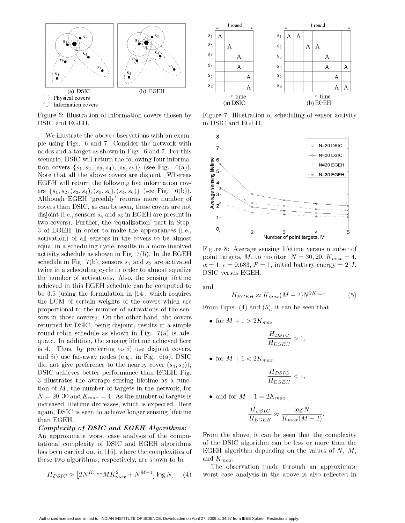

DSIC and EGEH. in DSIC and EGEH.

We illustrate the above observations with an example using Figs. 6 and 7. Consider the network with 7 nodes and a target as shown in Figs. 6 and 7. For this <sup>7</sup> N=30 DSIC scenario, DSIC will return the following four informa-<br>tion covers  $\{s_1, s_2, (s_3, s_4), (s_5, s_6)\}$  (see Fig. 6(a)).<br>Note that all the above covers are disjoint. Whereas<br>EGEH will return the following five information covtion covers  $\{s_1, s_2, (s_3, s_4), (s_5, s_6)\}\$  (see Fig. 6(a)).  $\frac{1}{20}$ <br>Note that all the above covers are disjoint. Whereas Note that all the above covers are disjoint. Whereas EGEH will return the following five information covers  $\{s_1, s_2, (s_3, s_4), (s_5, s_6), (s_4, s_6)\}\$  (see Fig. 6(b)). Although EGEH 'greedily' returns more number of Note that all the above covers are disjoint. Whereas<br>
EGEH will return the following five information cov-<br>
ers { $s_1$ ,  $s_2$ ,  $(s_3, s_4$ ),  $(s_5, s_6)$ ,  $(s_4, s_6)$ } (see Fig. 6(b)).<br>
Although EGEH 'greedily' returns more nu disjoint (i.e., sensors  $s_4$  and  $s_6$  in EGEH are present in two covers). Further, the 'equalization' part in Step-3 of EGEH, in order to make the appearances (i.e.,  $0\frac{1}{1}$   $\frac{2}{2}$   $\frac{3}{3}$   $\frac{4}{4}$  5 activation) of all sensors in the covers to be almost equal in a scheduling cycle, results in a more involved Figure 8: Average sensing lifetime versus number of activity schedule as shown in Fig. 7(b). In the EGEH point targets, M, to monitor.  $N = 30, 20, K_{max} = 4$ , schedule in Fig. 7(b), sensors  $s_1$  and  $s_2$  are activated  $\alpha = 1$ ,  $\epsilon = 0.683$ ,  $R = 1$ , initial battery energy = 2 J. twice in a scheduling cycle in order to almost equalize DSIC versus EGEH. the number of activations. Also, the sensing lifetime achieved in this EGEH schedule can be computed to and be 3.5 (using the formulation in  $[14]$ , which requires the LCM of certain weights of the covers which are proportional to the number of activations of the sen- From Eqns. (4) and (5), it can be seen that sors in those covers). On the other hand, the covers  $\bullet$  for  $M + 1 > 2K_{max}$ returned by DSIC, being disjoint, results in a simple round-robin schedule as shown in Fig.  $7(a)$  is adequate. In addition, the sensing lifetime achieved here is 4. Thus, by preferring to  $i$ ) use disjoint covers, and *ii*) use far-away nodes (e.g., in Fig. 6(a), DSIC  $\bullet$  for  $M + 1 < 2K_{max}$ did not give preference to the nearby cover  $(s_4, s_6)$ , DSIC achieves better performance than EGEH. Fig. 3 illustrates the average sensing lifetime as a function of  $M$ , the number of targets in the network, for  $N = 20, 30$  and  $K_{max} = 4$ . As the number of targets is  $\bullet$  and for  $M + 1 = 2K_{max}$ increased, lifetime decreases, which is expected. Here again, DSIC is seen to achieve longer sensing lifetime than EGEH.  $H_{EGEH} = K_{max}(M + 2)$ 

## Complexity of DSIC and EGEH Algorithms:

tational complexity of DSIC and EGEH algorithms these two algorithms, respectively, are shown to be and  $K_{max}$ .

$$
H_{DSIC} \approx \left[2N^{K_{max}} M K_{max}^2 + N^{M+1}\right] \log N,\quad (4)
$$



Figure 6: Illustration of information covers chosen by Figure 7: Illustration of scheduling of sensor activity



$$
H_{EGEH} \approx K_{max}(M+2)N^{2K_{max}}.\tag{5}
$$

$$
\frac{H_{DSIC}}{H_{EGEH}} > 1,
$$

$$
\frac{H_{DSIC}}{H_{EGEH}} < 1,
$$

$$
\frac{H_{DSIC}}{H_{EGEH}} \approx \frac{\log N}{K_{max}(M+2)}
$$

An approximate worst case analysis of the compu-<br>tational complexity of DSIC and EGEH algorithms of the DSIC algorithm can be less or more than the has been carried out in [15], where the complexities of EGEH algorithm depending on the values of  $N, M$ ,

> The observation made through an approximate worst case analysis in the above is also reflected in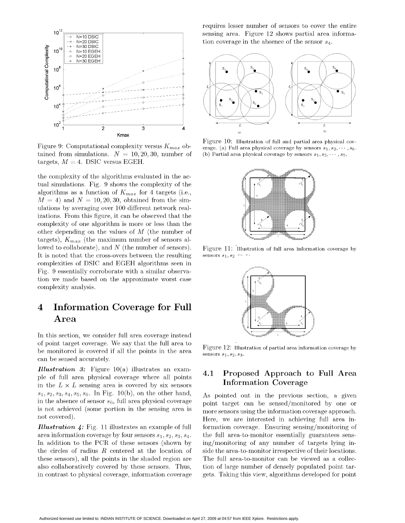

Figure 9: Computational complexity versus  $K_{max}$  obtained from simulations.  $N = 10, 20, 30$ , number of targets,  $M = 4$ . DSIC versus EGEH.

the complexity of the algorithms evaluated in the actual simulations. Fig. 9 shows the complexity of the algorithms as a function of  $K_{max}$  for 4 targets (i.e.,  $M = 4$ ) and  $N = 10, 20, 30$ , obtained from the simulations by averaging over 100 different network realizations. From this figure, it can be observed that the complexity of one algorithm is more or less than the other depending on the values of  $M$  (the number of targets),  $K_{max}$  (the maximum number of sensors allowed to collaborate), and  $N$  (the number of sensors). It is noted that the cross-overs between the resulting complexities of DSIC and EGEH algorithms seen in Fig. 9 essentially corroborate with a similar observation we made based on the approximate worst case complexity analysis.

## **Information Coverage for Full**  $\boldsymbol{4}$  $\boldsymbol{\mathrm{Area}}$

In this section, we consider full area coverage instead of point target coverage. We say that the full area to be monitored is covered if all the points in the area can be sensed accurately.

**Illustration 3:** Figure 10(a) illustrates an example of full area physical coverage where all points in the  $L \times L$  sensing area is covered by six sensors  $s_1, s_2, s_3, s_4, s_5, s_6$ . In Fig. 10(b), on the other hand, in the absence of sensor  $s_6$ , full area physical coverage is not achieved (some portion in the sensing area is not covered).

**Illustration 4:** Fig. 11 illustrates an example of full area information coverage by four sensors  $s_1$ ,  $s_2$ ,  $s_3$ ,  $s_4$ . In addition to the PCR of these sensors (shown by the circles of radius  $R$  centered at the location of these sensors), all the points in the shaded region are also collaboratively covered by these sensors. Thus, in contrast to physical coverage, information coverage

requires lesser number of sensors to cover the entire sensing area. Figure 12 shows partial area information coverage in the absence of the sensor  $s_4$ .



Figure 10: Illustration of full and partial area physical coverage. (a) Full area physical coverage by sensors  $s_1, s_2, \dots, s_6$ . (b) Partial area physical coverage by sensors  $s_1, s_2, \dots, s_5$ .



Figure 11: Illustration of full area information coverage by sensors  $s_1, s_2$ 



Figure 12: Illustration of partial area information coverage by sensors  $s_1, s_2, s_3$ .

## Proposed Approach to Full Area 4.1 **Information Coverage**

As pointed out in the previous section, a given point target can be sensed/monitored by one or more sensors using the information coverage approach. Here, we are interested in achieving full area information coverage. Ensuring sensing/monitoring of the full area-to-monitor essentially guarantees sensing/monitoring of any number of targets lying inside the area-to-monitor irrespective of their locations. The full area-to-monitor can be viewed as a collection of large number of densely populated point targets. Taking this view, algorithms developed for point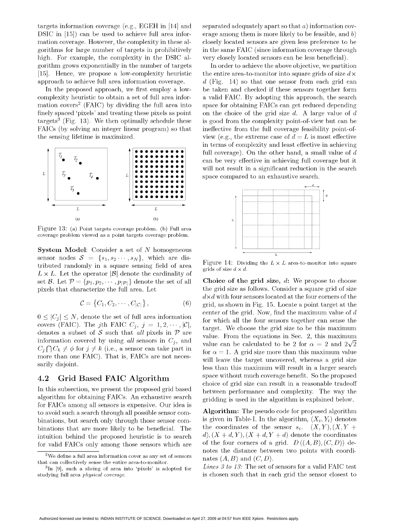targets information coverage (e.g., EGEH in [14] and separated adequately apart so that  $a$ ) information cov-DSIC in  $[15]$  can be used to achieve full area infor- erage among them is more likely to be feasible, and b) mation coverage. However, the complexity in these al- closely located sensors are given less preference to be gorithms for large number of targets in prohibitively in the same FAIC (since information coverage through high. For example, the complexity in the DSIC al- very closely located sensors can be less beneficial). gorithm grows exponentially in the number of targets In order to achieve the above objective, we partition [15]. Hence, we propose a low-complexity heuristic the entire area-to-monitor into square grids of size  $d \times$ approach to achieve full area information coverage.  $d$  (Fig. 14) so that one sensor from each grid can

complexity heuristic to obtain a set of full area infor- a valid FAIC. By adopting this approach, the search finely spaced 'pixels' and treating these pixels as point on the choice of the grid size  $d$ . A large value of  $d$ targets3 (Fig. 13). We then optimally schedule these is good from the complexity point-of-view but can be FAICs (by solving an integer linear program) so that ineffective from the full coverage feasibility point-ofthe sensing lifetime is maximized. view (e.g., the extreme case of  $d = L$  is most effective



Figure 13: (a) Point targets coverage problem. (b) Full area coverage problem viewed as a point targets coverage problem.

System Model: Consider a set of N homogeneous sensor nodes  $S = \{s_1, s_2 \cdots, s_N\}$ , which are distributed randomly in a square sensing field of area Figure 14: Dividing the  $L \times L$  area-to-monitor into square fributed randomly in a square sensing field of area grids of size  $d \times d$ .  $L \times L$ . Let the operator  $|\mathcal{B}|$  denote the cardinality of set B. Let  $P = \{p_1, p_2, \dots, p_{|\mathcal{P}|}\}\$  denote the set of all Choice of the grid size, d: We propose to choose pixels that characterize the full area. Let the grid size as follows. Consider a square grid of size

$$
C = \{C_1, C_2, \cdots, C_{|C|}\},\tag{6}
$$

covers (FAIC). The jth FAIC  $C_j$ ,  $j=1, 2, \dots, |\mathcal{C}|$ , denotes a subset of S such that *all* pixels in P are

algorithm for obtaining FAICs. An exhaustive search gridding is used in the algorithm is explained below. for FAICs among all sensors is expensive. Our idea is to avoid such a search through all possible sensor com-<br>hinations but search only through those sensor com-<br>is given in Table-I. In the algorithm,  $(X_i, Y_i)$  denotes for valid FAICs only among those sensors which are

In the proposed approach, we first employ a low- be taken and checked if these sensors together form mation covers<sup>2</sup> (FAIC) by dividing the full area into space for obtaining FAICs can get reduced depending in terms of complexity and least effective in achieving full coverage). On the other hand, a small value of  $d$ can be very effective in achieving full coverage but it will not result in a significant reduction in the search space compared to an exhaustive search. Can be used to achieve fun are into  $\sim$  ease anony derivative functions and the same properties are specified to the complexity in the Same FAIC (since information coverage number of targets in prohibitively in the same



the grid size as follows. Consider a square grid of size  $d \times d$  with four sensors located at the four corners of the grid, as shown in Fig.  $15$ . Locate a point target at the  $0 \leq |C_i| \leq N$ , denote the set of full area information center of the grid. Now, find the maximum value of d for which all the four sensors together can sense the denotes (FAIC). The full FAIC  $C_j$ ,  $j = 1, 2, \dots, |\mathcal{C}|$ ,<br>denotes a subset of S such that *all* pixels in  $\mathcal{P}$  are<br>information covered by using *all* sensors in  $C_j$ , and<br>value can be calculated to be 2 for  $\alpha = 2$  and  $C_j \bigcap C_k \neq \emptyset$  for  $j \neq k$  (i.e., a sensor can take part in  $\text{for } \alpha = 1$ . A grid size more than this maximum value more than one FAIC). That is, FAICs are not neces-<br>sarily disjoint. less than this maximum will result in a larger search 4.2 Grid Based FAIC Algorithm space without much coverage benefit. So the proposed choice of grid size can result in a reasonable tradeoff In this subsection, we present the proposed grid based between performance and complexity. The way the

binations, but search only through those sensor com-<br>binations that are more likely to be beneficial. The the coordinates of the sensor  $s_i$ .  $(X, Y), (X, Y +$ binations that are more likely to be beneficial. The the coordinates of the sensor  $s_i$ .  $(X, Y), (X, Y +$ <br>intuition behind the proposed heuristic is to search  $d$ ,  $(X + d, Y), (X + d, Y + d)$  denote the coordinates intuition behind the proposed heuristic is to search d),  $(X + d, Y)$ ,  $(X + d, Y + d)$  denote the coordinates<br>for valid FAICs only among those sensors which are of the four corners of a grid.  $D((A, B), (C, D))$  denotes the distance between two points with coordi-

<sup>3</sup>In [9], such a slicing of area into 'pixels' is adopted for Lines 3 to 13: The set of sensors for a valid FAIC test

<sup>&</sup>lt;sup>2</sup>We define a full area information cover as any set of sensors nates  $(A, B)$  and  $(C, D)$ . that can collectively sense the entire area-to-monitor.

studying full area *physical coverage*. is chosen such that in each grid the sensor closest to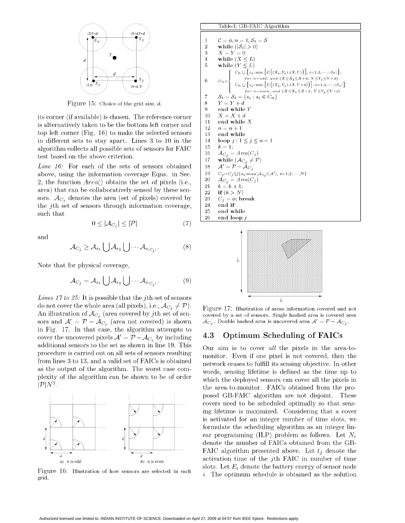

Figure 15: Choice of the grid size,  $d$ .

its corner (if available) is chosen. The reference corner is alternatively taken to be the bottom left corner and top left corner (Fig.  $16$ ) to make the selected sensors in different sets to stay apart. Lines  $3$  to  $10$  in the algorithm collects all possible sets of sensors for FAIC test based on the above criterion.

Line  $16$ : For each of the sets of sensors obtained above, using the information coverage Eqns. in Sec. 2, the function  $Area()$  obtains the set of pixels (i.e., area) that can be collaboratively sensed by these sensors.  $\mathcal{A}_{C_i}$  denotes the area (set of pixels) covered by the *i*th set of sensors through information coverage,  $\frac{1}{25}$  end while

and

$$
0 \le |\mathcal{A}_{C_j}| \le |\mathcal{P}| \tag{7}
$$

$$
\mathcal{A}_{C_j} \geq \mathcal{A}_{s_1} \bigcup \mathcal{A}_{s_2} \bigcup \cdots \mathcal{A}_{s_{|C_j|}}.\tag{8}
$$

Note that for physical coverage,

$$
\mathcal{A}_{C_j} = \mathcal{A}_{s_1} \bigcup \mathcal{A}_{s_2} \bigcup \cdots \mathcal{A}_{s_{|C_j|}}.\tag{9}
$$

*Lines 17 to 25:* It is possible that the *j*th set of sensors do not cover the whole area (all pixels), i.e.,  $\mathcal{A}_{C_j} \neq \mathcal{P}$ ). Figure 17: Illustration of areas information covered and not An illustration of  $\mathcal{A}_{C_j}$  (area covered by jth set of sen-<br>sors and  $\mathcal{A}' = \mathcal{P} - \mathcal{A}_{C_i}$  (area not covered) is shown  $\mathcal{A}_{C_i}$ . Double hashed area is uncovered area  $\mathcal{A}' = \mathcal{P} - \mathcal{A}_{C_i}$ . sors and  $A' = \mathcal{P} - \mathcal{A}_{C_i}$  (area not covered) is shown in Fig. 17. In that case, the algorithm attempts to cover the uncovered pixels  $A' = \overline{P} - A_{C_j}$  by including 4.3 Optimum Scheduling of FAICs additional sensors to the set as shown in line 19. This Our simple to cover  $e^{H}$  the pixels in the arc procedure is carried out on all sets of sensors resulting monitor. Even if one pixel is not covered, then the from lines 3 to 13, and a valid set of FAICs is obtained network ceases to fulfill its sensing objective. In other as the output of the algorithm. The worst case com-<br>words, sensing lifetime is defined as the time up to plexity of the algorithm can be shown to be of order which the deployed sensors can cover all the pixels in



grid.

S4 S3 <sup>1</sup> C n = St S <sup>2</sup> while (ISt| > 0) <sup>T</sup> <sup>3</sup> X =Y=O <sup>1</sup> C .Us{i:min[ D((Xi,Yi),(X,Y))], i=1,2, St, >s2\_\ <sup>6</sup> = <sup>q</sup> <sup>f</sup> or <sup>n</sup> =<sup>o</sup> <sup>d</sup> d, <sup>a</sup> <sup>n</sup> <sup>d</sup> ( <sup>X</sup> <X<X +d, Y<Y<Y<sup>i</sup> d) S1 <sup>I</sup> C~~~~{2 6iC ''(XY) Sl , \Y) )'lCn <sup>U</sup> {si: min [D((Xi,Yi),(X,Y+d))1, i=1,2,--- ,|St II for n=even, and (X<Xi<X+d, Y<Yi<Y+d) 7 St St -{Si Si E Cn} <sup>9</sup> end while Y 26 end loop <sup>j</sup>

 $T_{\rm t}$   $CD$   $EMIC$  Algorithm



Our aim is to cover all the pixels in the area-to- $\mathbb{Z}P[N^3]$ .<br>the area-to-monitor. FAICs obtained from the proposed GB-FAIC algorithm are not disjoint. These covers need to be scheduled optimally so that sensing lifetime is maximized. Considering that a cover is activated for an integer number of time slots, we formulate the scheduling algorithm as an integer linear programming (ILP) problem as follows. Let  $N_c$ denote the number of FAICs obtained from the GB- FAIC algorithm presented above. Let  $t_i$  denote the  $\begin{array}{c} a \ a \ (a) \ \text{n is odd} \end{array}$  activation time of the jth FAIC in number of time Slots. Let  $E_i$  denote the battery energy of sensor node<br>Figure 16: Illustration of how sensors are selected in each i. The optimum schedule is obtained as the solution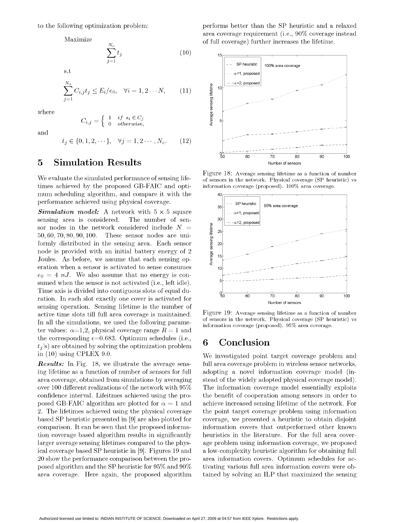$$
\sum_{j=1}^{N_c} t_j
$$
 or run to

s.t

$$
\sum_{j=1}^{N_c} C_{i,j} t_j \le E_i/e_0, \quad \forall i = 1, 2 \cdots N, \qquad (11) \qquad \underbrace{\overset{\text{g}}{\underset{\text{se}}{\text{g}}}{\underset{\text{se}}{\text{g}}}} \, 10^{\left|\frac{1}{1-\cdots\alpha-2, \text{ proposed}}\right|}
$$

where

$$
C_{i,j} = \left\{ \begin{array}{ll} 1 & if \; s_i \in C_j \\ 0 & otherwise, \end{array} \right. \hspace{1in} \left. \begin{array}{ll} \frac{8}{9} \\ \frac{2}{9} \end{array} \right.
$$

and

$$
t_j \in \{0, 1, 2, \cdots\}, \quad \forall j = 1, 2 \cdots, N_c. \tag{12}
$$

# **5** Simulation Results Number of sensors

times achieved by the proposed GB-FAIC and opti- information coverage (proposed). 100% area coverage. mum scheduling algorithm, and compare it with the  $\frac{40}{40}$ performance achieved using physical coverage.<br> $\frac{1}{35}$  - SP heuristic  $\frac{1}{95\%}$  area coverage

**Simulation model:** A network with  $5 \times 5$  square  $\|\ldots\|_{\alpha=1, \text{propos}}$ sensing area is considered. The number of sen-<br> $\mathbb{S}^3$   $\left| \begin{array}{cc} -\alpha=2, & \text{propos-} \end{array} \right|$ sor nodes in the network considered include  $N =$ 50, 60, 70, 80, 90,100. These sensor nodes are uniformly distributed in the sensing area. Each sensor  $\frac{2}{5}$  20 node is provided with an initial battery energy of 2 Joules. As before, we assume that each sensing operation when a sensor is activated to sense consumes  $\frac{1}{10}$  $e_0 = 4 \ nJ$ . We also assume that no energy is consumed when the sensor is not activated (i.e., left idle). Time axis is divided into contiguous slots of equal du-<br>  $\frac{1}{50}$   $\frac{1}{60}$   $\frac{1}{60}$   $\frac{1}{70}$   $\frac{1}{80}$  90 ration. In each slot exactly one cover is activated for  $\frac{50}{20}$  60  $\frac{70}{20}$  80 90 100 sensing operation. Sensing lifetime is the number of active time slots till full area coverage is maintained. Figure 19: Average sensing lifetime as a function of number In all the simulations, we used the following parameter values:  $\alpha=1,2$ , physical coverage range  $R=1$  and the corresponding  $\epsilon = 0.683$ . Optimum schedules (i.e.,  $\epsilon$  Conclusion  $t_i$ 's) are obtained by solving the optimization problem in (10) using CPLEX 9.0. We investigated point target coverage problem and

to the following optimization problem: performs better than the SP heuristic and a relaxed area coverage requirement (i.e., 90% coverage instead Maximize of full coverage) further increases the lifetime.



Figure 18: Average sensing lifetime as a function of number We evaluate the simulated performance of sensing life-<br>of sensors in the network. Physical coverage (SP heuristic) vs



of sensors in the network. Physical coverage (SP heuristic) vs information coverage (proposed). 95% area coverage.

Results: In Fig. 18, we illustrate the average sens-<br>
full area coverage problem in wireless sensor networks, ing lifetime as a function of number of sensors for full adopting a novel information coverage model (inarea coverage, obtained from simulations by averaging stead of the widely adopted physical coverage model). over 100 different realizations of the network with 95% The information coverage model essentially exploits confidence interval. Lifeitmes achieved using the pro- the benefit of cooperation among sensors in order to posed GB-FAIC algorithm are plotted for  $\alpha = 1$  and achieve increased sensing lifetime of the network. For 2. The lifetimes achieved using the physical coverage the point target coverage problem using information based SP heuristic presented in [9] are also plotted for coverage, we presented a heuristic to obtain disjoint comparison. It can be seen that the proposed informa- information covers that outperformed other known tion coverage based algorithm results in significantly heuristics in the literature. For the full area coverlarger average sensing lifetimes compared to the phys- age problem using information coverage, we proposed ical coverage based SP heuristic in [9]. Figures 19 and a low-complexity heuristic algorithm for obtaining full 20 show the performance comparison between the pro- area information covers. Optimum schedules for acposed algorithm and the SP heuristic for 95% and 90% tivating various full area information covers were obarea coverage. Here again, the proposed algorithm tained by solving an ILP that maximized the sensing